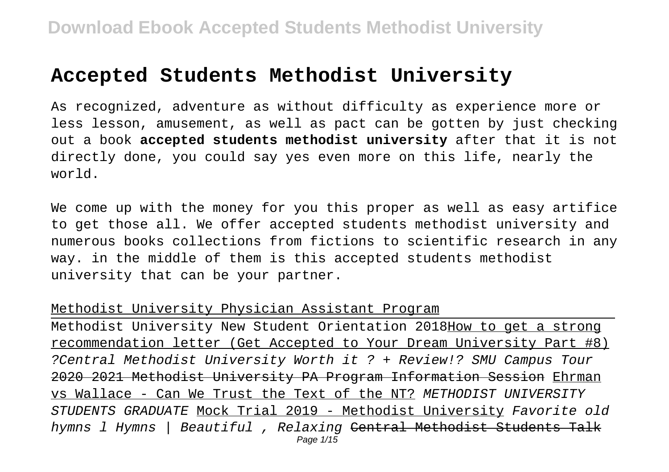# **Accepted Students Methodist University**

As recognized, adventure as without difficulty as experience more or less lesson, amusement, as well as pact can be gotten by just checking out a book **accepted students methodist university** after that it is not directly done, you could say yes even more on this life, nearly the world.

We come up with the money for you this proper as well as easy artifice to get those all. We offer accepted students methodist university and numerous books collections from fictions to scientific research in any way. in the middle of them is this accepted students methodist university that can be your partner.

#### Methodist University Physician Assistant Program

Methodist University New Student Orientation 2018How to get a strong recommendation letter (Get Accepted to Your Dream University Part #8) ?Central Methodist University Worth it ? + Review!? SMU Campus Tour 2020 2021 Methodist University PA Program Information Session Ehrman vs Wallace - Can We Trust the Text of the NT? METHODIST UNIVERSITY STUDENTS GRADUATE Mock Trial 2019 - Methodist University Favorite old hymns 1 Hymns | Beautiful , Relaxing <del>Central Methodist Students Talk</del> Page 1/15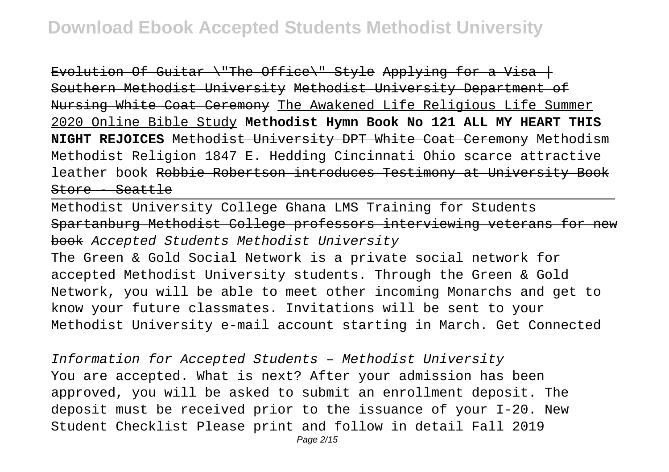Evolution Of Guitar \"The Office\" Style Applying for a Visa  $|$ Southern Methodist University Methodist University Department of Nursing White Coat Ceremony The Awakened Life Religious Life Summer 2020 Online Bible Study **Methodist Hymn Book No 121 ALL MY HEART THIS NIGHT REJOICES** Methodist University DPT White Coat Ceremony Methodism Methodist Religion 1847 E. Hedding Cincinnati Ohio scarce attractive leather book Robbie Robertson introduces Testimony at University Book Store - Seattle

Methodist University College Ghana LMS Training for Students Spartanburg Methodist College professors interviewing veterans for book Accepted Students Methodist University

The Green & Gold Social Network is a private social network for accepted Methodist University students. Through the Green & Gold Network, you will be able to meet other incoming Monarchs and get to know your future classmates. Invitations will be sent to your Methodist University e-mail account starting in March. Get Connected

Information for Accepted Students – Methodist University You are accepted. What is next? After your admission has been approved, you will be asked to submit an enrollment deposit. The deposit must be received prior to the issuance of your I-20. New Student Checklist Please print and follow in detail Fall 2019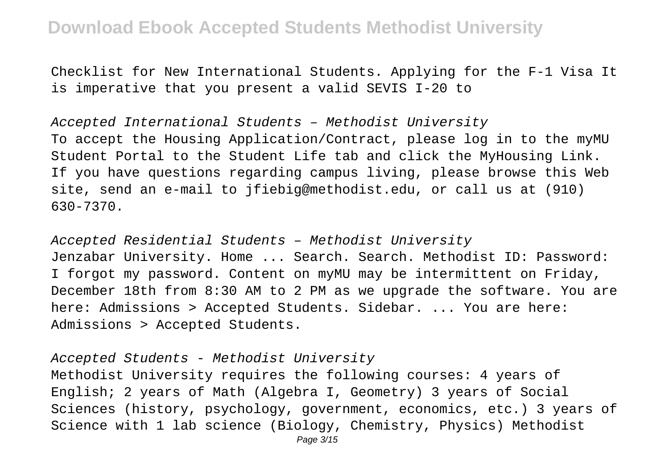Checklist for New International Students. Applying for the F-1 Visa It is imperative that you present a valid SEVIS I-20 to

Accepted International Students – Methodist University To accept the Housing Application/Contract, please log in to the myMU Student Portal to the Student Life tab and click the MyHousing Link. If you have questions regarding campus living, please browse this Web site, send an e-mail to jfiebig@methodist.edu, or call us at (910) 630-7370.

Accepted Residential Students – Methodist University Jenzabar University. Home ... Search. Search. Methodist ID: Password: I forgot my password. Content on myMU may be intermittent on Friday, December 18th from 8:30 AM to 2 PM as we upgrade the software. You are here: Admissions > Accepted Students. Sidebar. ... You are here: Admissions > Accepted Students.

#### Accepted Students - Methodist University

Methodist University requires the following courses: 4 years of English; 2 years of Math (Algebra I, Geometry) 3 years of Social Sciences (history, psychology, government, economics, etc.) 3 years of Science with 1 lab science (Biology, Chemistry, Physics) Methodist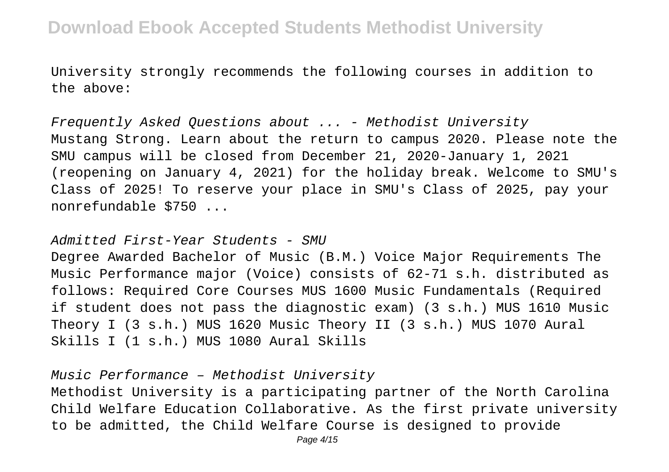University strongly recommends the following courses in addition to the above:

Frequently Asked Questions about ... - Methodist University Mustang Strong. Learn about the return to campus 2020. Please note the SMU campus will be closed from December 21, 2020-January 1, 2021 (reopening on January 4, 2021) for the holiday break. Welcome to SMU's Class of 2025! To reserve your place in SMU's Class of 2025, pay your nonrefundable \$750 ...

Admitted First-Year Students - SMU

Degree Awarded Bachelor of Music (B.M.) Voice Major Requirements The Music Performance major (Voice) consists of 62-71 s.h. distributed as follows: Required Core Courses MUS 1600 Music Fundamentals (Required if student does not pass the diagnostic exam) (3 s.h.) MUS 1610 Music Theory I (3 s.h.) MUS 1620 Music Theory II (3 s.h.) MUS 1070 Aural Skills I (1 s.h.) MUS 1080 Aural Skills

Music Performance – Methodist University

Methodist University is a participating partner of the North Carolina Child Welfare Education Collaborative. As the first private university to be admitted, the Child Welfare Course is designed to provide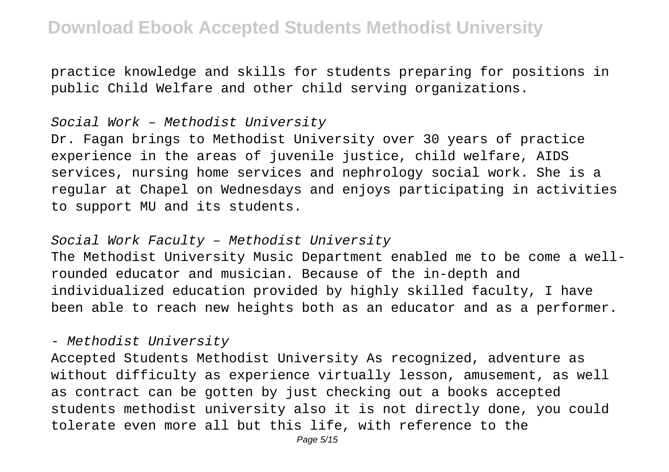practice knowledge and skills for students preparing for positions in public Child Welfare and other child serving organizations.

#### Social Work – Methodist University

Dr. Fagan brings to Methodist University over 30 years of practice experience in the areas of juvenile justice, child welfare, AIDS services, nursing home services and nephrology social work. She is a regular at Chapel on Wednesdays and enjoys participating in activities to support MU and its students.

#### Social Work Faculty – Methodist University

The Methodist University Music Department enabled me to be come a wellrounded educator and musician. Because of the in-depth and individualized education provided by highly skilled faculty, I have been able to reach new heights both as an educator and as a performer.

#### - Methodist University

Accepted Students Methodist University As recognized, adventure as without difficulty as experience virtually lesson, amusement, as well as contract can be gotten by just checking out a books accepted students methodist university also it is not directly done, you could tolerate even more all but this life, with reference to the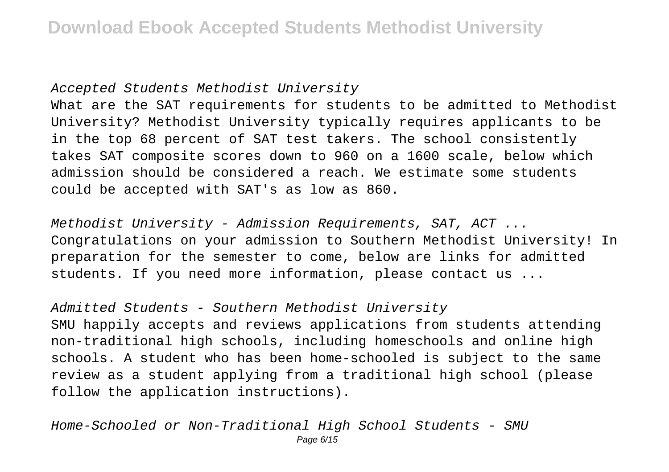#### Accepted Students Methodist University

What are the SAT requirements for students to be admitted to Methodist University? Methodist University typically requires applicants to be in the top 68 percent of SAT test takers. The school consistently takes SAT composite scores down to 960 on a 1600 scale, below which admission should be considered a reach. We estimate some students could be accepted with SAT's as low as 860.

Methodist University - Admission Requirements, SAT, ACT ... Congratulations on your admission to Southern Methodist University! In preparation for the semester to come, below are links for admitted students. If you need more information, please contact us ...

Admitted Students - Southern Methodist University SMU happily accepts and reviews applications from students attending non-traditional high schools, including homeschools and online high schools. A student who has been home-schooled is subject to the same review as a student applying from a traditional high school (please follow the application instructions).

Home-Schooled or Non-Traditional High School Students - SMU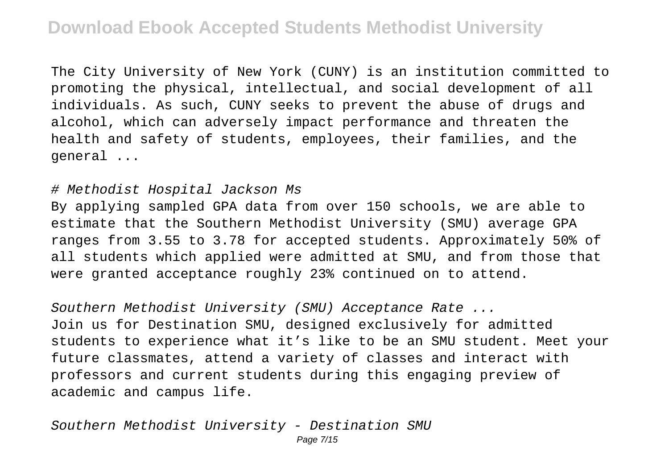The City University of New York (CUNY) is an institution committed to promoting the physical, intellectual, and social development of all individuals. As such, CUNY seeks to prevent the abuse of drugs and alcohol, which can adversely impact performance and threaten the health and safety of students, employees, their families, and the general ...

#### # Methodist Hospital Jackson Ms

By applying sampled GPA data from over 150 schools, we are able to estimate that the Southern Methodist University (SMU) average GPA ranges from 3.55 to 3.78 for accepted students. Approximately 50% of all students which applied were admitted at SMU, and from those that were granted acceptance roughly 23% continued on to attend.

Southern Methodist University (SMU) Acceptance Rate ... Join us for Destination SMU, designed exclusively for admitted students to experience what it's like to be an SMU student. Meet your future classmates, attend a variety of classes and interact with professors and current students during this engaging preview of academic and campus life.

Southern Methodist University - Destination SMU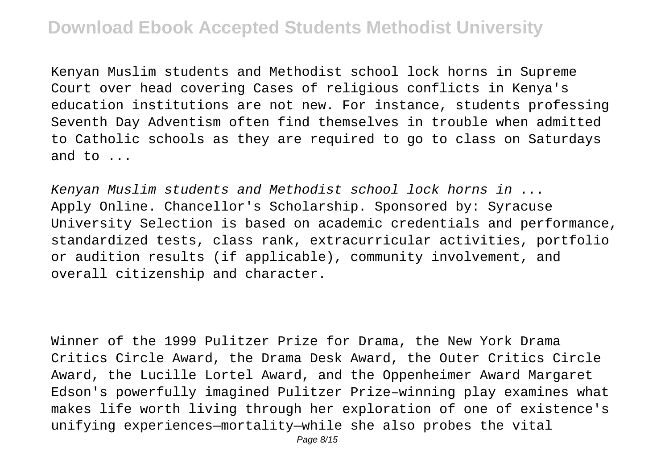Kenyan Muslim students and Methodist school lock horns in Supreme Court over head covering Cases of religious conflicts in Kenya's education institutions are not new. For instance, students professing Seventh Day Adventism often find themselves in trouble when admitted to Catholic schools as they are required to go to class on Saturdays and to ...

Kenyan Muslim students and Methodist school lock horns in ... Apply Online. Chancellor's Scholarship. Sponsored by: Syracuse University Selection is based on academic credentials and performance, standardized tests, class rank, extracurricular activities, portfolio or audition results (if applicable), community involvement, and overall citizenship and character.

Winner of the 1999 Pulitzer Prize for Drama, the New York Drama Critics Circle Award, the Drama Desk Award, the Outer Critics Circle Award, the Lucille Lortel Award, and the Oppenheimer Award Margaret Edson's powerfully imagined Pulitzer Prize–winning play examines what makes life worth living through her exploration of one of existence's unifying experiences—mortality—while she also probes the vital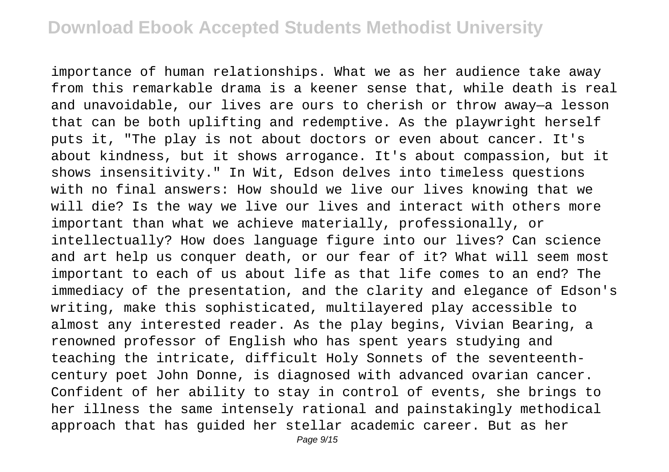importance of human relationships. What we as her audience take away from this remarkable drama is a keener sense that, while death is real and unavoidable, our lives are ours to cherish or throw away—a lesson that can be both uplifting and redemptive. As the playwright herself puts it, "The play is not about doctors or even about cancer. It's about kindness, but it shows arrogance. It's about compassion, but it shows insensitivity." In Wit, Edson delves into timeless questions with no final answers: How should we live our lives knowing that we will die? Is the way we live our lives and interact with others more important than what we achieve materially, professionally, or intellectually? How does language figure into our lives? Can science and art help us conquer death, or our fear of it? What will seem most important to each of us about life as that life comes to an end? The immediacy of the presentation, and the clarity and elegance of Edson's writing, make this sophisticated, multilayered play accessible to almost any interested reader. As the play begins, Vivian Bearing, a renowned professor of English who has spent years studying and teaching the intricate, difficult Holy Sonnets of the seventeenthcentury poet John Donne, is diagnosed with advanced ovarian cancer. Confident of her ability to stay in control of events, she brings to her illness the same intensely rational and painstakingly methodical approach that has guided her stellar academic career. But as her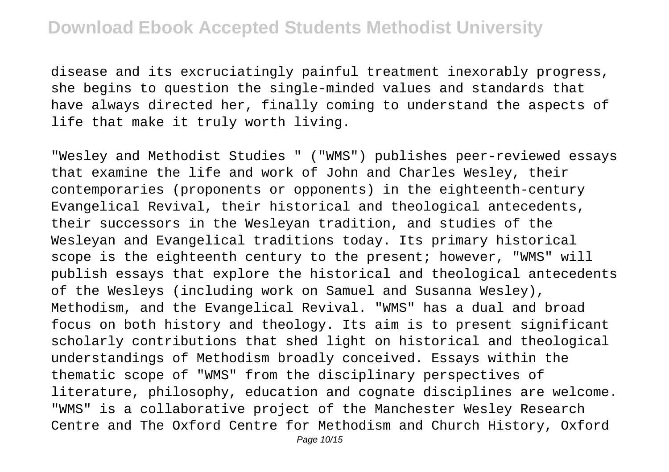disease and its excruciatingly painful treatment inexorably progress, she begins to question the single-minded values and standards that have always directed her, finally coming to understand the aspects of life that make it truly worth living.

"Wesley and Methodist Studies " ("WMS") publishes peer-reviewed essays that examine the life and work of John and Charles Wesley, their contemporaries (proponents or opponents) in the eighteenth-century Evangelical Revival, their historical and theological antecedents, their successors in the Wesleyan tradition, and studies of the Wesleyan and Evangelical traditions today. Its primary historical scope is the eighteenth century to the present; however, "WMS" will publish essays that explore the historical and theological antecedents of the Wesleys (including work on Samuel and Susanna Wesley), Methodism, and the Evangelical Revival. "WMS" has a dual and broad focus on both history and theology. Its aim is to present significant scholarly contributions that shed light on historical and theological understandings of Methodism broadly conceived. Essays within the thematic scope of "WMS" from the disciplinary perspectives of literature, philosophy, education and cognate disciplines are welcome. "WMS" is a collaborative project of the Manchester Wesley Research Centre and The Oxford Centre for Methodism and Church History, Oxford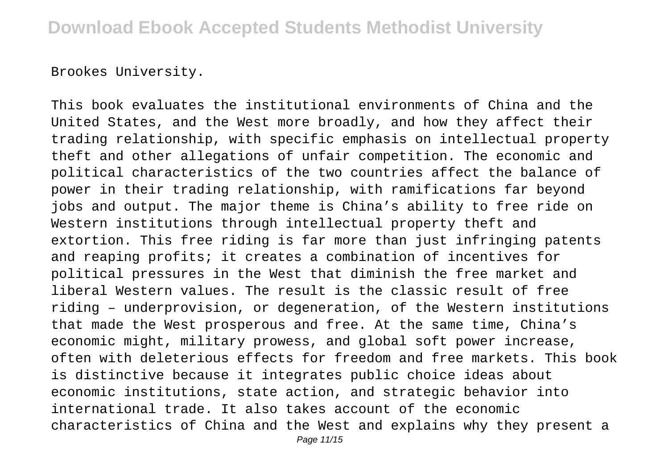Brookes University.

This book evaluates the institutional environments of China and the United States, and the West more broadly, and how they affect their trading relationship, with specific emphasis on intellectual property theft and other allegations of unfair competition. The economic and political characteristics of the two countries affect the balance of power in their trading relationship, with ramifications far beyond jobs and output. The major theme is China's ability to free ride on Western institutions through intellectual property theft and extortion. This free riding is far more than just infringing patents and reaping profits; it creates a combination of incentives for political pressures in the West that diminish the free market and liberal Western values. The result is the classic result of free riding – underprovision, or degeneration, of the Western institutions that made the West prosperous and free. At the same time, China's economic might, military prowess, and global soft power increase, often with deleterious effects for freedom and free markets. This book is distinctive because it integrates public choice ideas about economic institutions, state action, and strategic behavior into international trade. It also takes account of the economic characteristics of China and the West and explains why they present a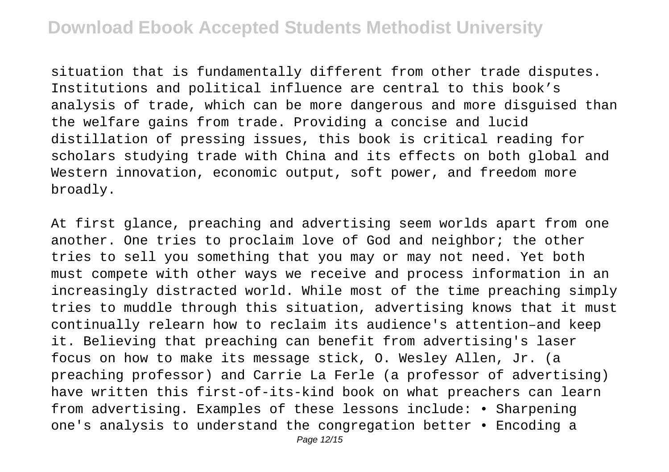situation that is fundamentally different from other trade disputes. Institutions and political influence are central to this book's analysis of trade, which can be more dangerous and more disguised than the welfare gains from trade. Providing a concise and lucid distillation of pressing issues, this book is critical reading for scholars studying trade with China and its effects on both global and Western innovation, economic output, soft power, and freedom more broadly.

At first glance, preaching and advertising seem worlds apart from one another. One tries to proclaim love of God and neighbor; the other tries to sell you something that you may or may not need. Yet both must compete with other ways we receive and process information in an increasingly distracted world. While most of the time preaching simply tries to muddle through this situation, advertising knows that it must continually relearn how to reclaim its audience's attention–and keep it. Believing that preaching can benefit from advertising's laser focus on how to make its message stick, O. Wesley Allen, Jr. (a preaching professor) and Carrie La Ferle (a professor of advertising) have written this first-of-its-kind book on what preachers can learn from advertising. Examples of these lessons include: • Sharpening one's analysis to understand the congregation better • Encoding a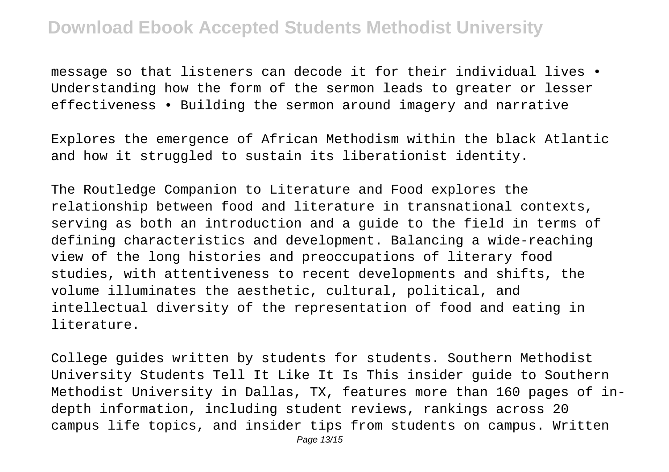message so that listeners can decode it for their individual lives • Understanding how the form of the sermon leads to greater or lesser effectiveness • Building the sermon around imagery and narrative

Explores the emergence of African Methodism within the black Atlantic and how it struggled to sustain its liberationist identity.

The Routledge Companion to Literature and Food explores the relationship between food and literature in transnational contexts, serving as both an introduction and a guide to the field in terms of defining characteristics and development. Balancing a wide-reaching view of the long histories and preoccupations of literary food studies, with attentiveness to recent developments and shifts, the volume illuminates the aesthetic, cultural, political, and intellectual diversity of the representation of food and eating in literature.

College guides written by students for students. Southern Methodist University Students Tell It Like It Is This insider guide to Southern Methodist University in Dallas, TX, features more than 160 pages of indepth information, including student reviews, rankings across 20 campus life topics, and insider tips from students on campus. Written Page 13/15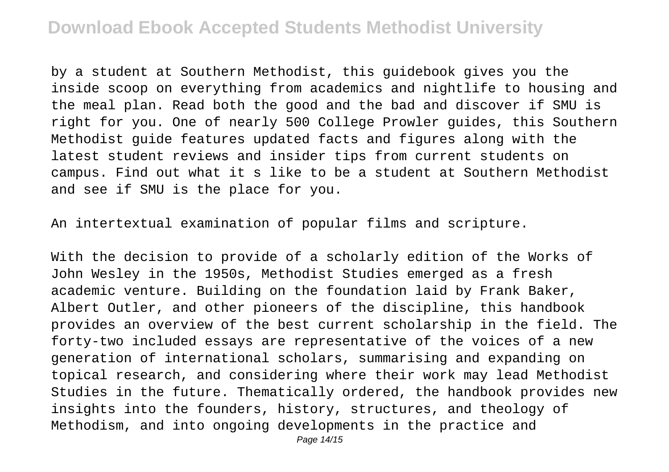by a student at Southern Methodist, this guidebook gives you the inside scoop on everything from academics and nightlife to housing and the meal plan. Read both the good and the bad and discover if SMU is right for you. One of nearly 500 College Prowler guides, this Southern Methodist guide features updated facts and figures along with the latest student reviews and insider tips from current students on campus. Find out what it s like to be a student at Southern Methodist and see if SMU is the place for you.

An intertextual examination of popular films and scripture.

With the decision to provide of a scholarly edition of the Works of John Wesley in the 1950s, Methodist Studies emerged as a fresh academic venture. Building on the foundation laid by Frank Baker, Albert Outler, and other pioneers of the discipline, this handbook provides an overview of the best current scholarship in the field. The forty-two included essays are representative of the voices of a new generation of international scholars, summarising and expanding on topical research, and considering where their work may lead Methodist Studies in the future. Thematically ordered, the handbook provides new insights into the founders, history, structures, and theology of Methodism, and into ongoing developments in the practice and